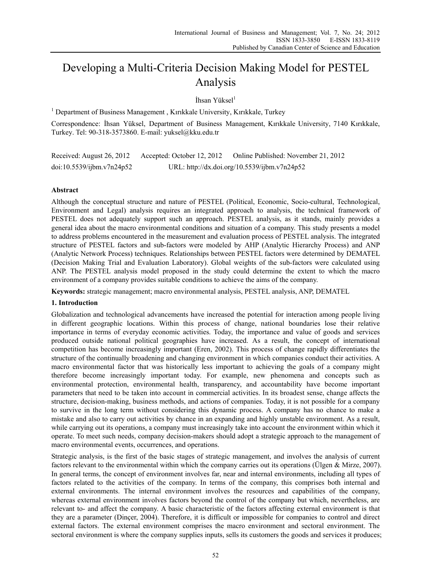# Developing a Multi-Criteria Decision Making Model for PESTEL Analysis

İhsan Yüksel $<sup>1</sup>$ </sup>

<sup>1</sup> Department of Business Management, Kırıkkale University, Kırıkkale, Turkey

Correspondence: İhsan Yüksel, Department of Business Management, Kırıkkale University, 7140 Kırıkkale, Turkey. Tel: 90-318-3573860. E-mail: yuksel@kku.edu.tr

Received: August 26, 2012 Accepted: October 12, 2012 Online Published: November 21, 2012 doi:10.5539/ijbm.v7n24p52 URL: http://dx.doi.org/10.5539/ijbm.v7n24p52

# **Abstract**

Although the conceptual structure and nature of PESTEL (Political, Economic, Socio-cultural, Technological, Environment and Legal) analysis requires an integrated approach to analysis, the technical framework of PESTEL does not adequately support such an approach. PESTEL analysis, as it stands, mainly provides a general idea about the macro environmental conditions and situation of a company. This study presents a model to address problems encountered in the measurement and evaluation process of PESTEL analysis. The integrated structure of PESTEL factors and sub-factors were modeled by AHP (Analytic Hierarchy Process) and ANP (Analytic Network Process) techniques. Relationships between PESTEL factors were determined by DEMATEL (Decision Making Trial and Evaluation Laboratory). Global weights of the sub-factors were calculated using ANP. The PESTEL analysis model proposed in the study could determine the extent to which the macro environment of a company provides suitable conditions to achieve the aims of the company.

**Keywords:** strategic management; macro environmental analysis, PESTEL analysis, ANP, DEMATEL

## **1. Introduction**

Globalization and technological advancements have increased the potential for interaction among people living in different geographic locations. Within this process of change, national boundaries lose their relative importance in terms of everyday economic activities. Today, the importance and value of goods and services produced outside national political geographies have increased. As a result, the concept of international competition has become increasingly important (Eren, 2002). This process of change rapidly differentiates the structure of the continually broadening and changing environment in which companies conduct their activities. A macro environmental factor that was historically less important to achieving the goals of a company might therefore become increasingly important today. For example, new phenomena and concepts such as environmental protection, environmental health, transparency, and accountability have become important parameters that need to be taken into account in commercial activities. In its broadest sense, change affects the structure, decision-making, business methods, and actions of companies. Today, it is not possible for a company to survive in the long term without considering this dynamic process. A company has no chance to make a mistake and also to carry out activities by chance in an expanding and highly unstable environment. As a result, while carrying out its operations, a company must increasingly take into account the environment within which it operate. To meet such needs, company decision-makers should adopt a strategic approach to the management of macro environmental events, occurrences, and operations.

Strategic analysis, is the first of the basic stages of strategic management, and involves the analysis of current factors relevant to the environmental within which the company carries out its operations (Ülgen & Mirze, 2007). In general terms, the concept of environment involves far, near and internal environments, including all types of factors related to the activities of the company. In terms of the company, this comprises both internal and external environments. The internal environment involves the resources and capabilities of the company, whereas external environment involves factors beyond the control of the company but which, nevertheless, are relevant to- and affect the company. A basic characteristic of the factors affecting external environment is that they are a parameter (Dinçer, 2004). Therefore, it is difficult or impossible for companies to control and direct external factors. The external environment comprises the macro environment and sectoral environment. The sectoral environment is where the company supplies inputs, sells its customers the goods and services it produces;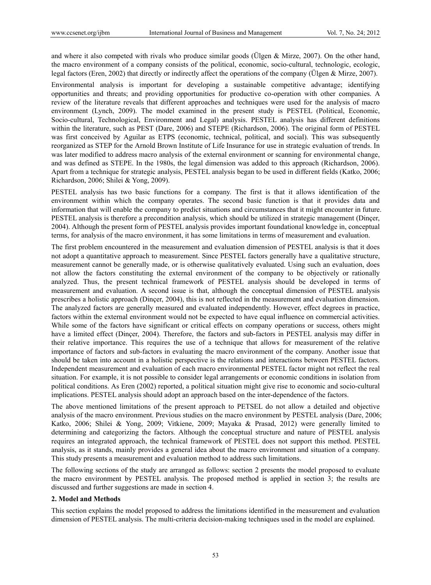and where it also competed with rivals who produce similar goods (Ülgen & Mirze, 2007). On the other hand, the macro environment of a company consists of the political, economic, socio-cultural, technologic, ecologic, legal factors (Eren, 2002) that directly or indirectly affect the operations of the company (Ülgen & Mirze, 2007).

Environmental analysis is important for developing a sustainable competitive advantage; identifying opportunities and threats; and providing opportunities for productive co-operation with other companies. A review of the literature reveals that different approaches and techniques were used for the analysis of macro environment (Lynch, 2009). The model examined in the present study is PESTEL (Political, Economic, Socio-cultural, Technological, Environment and Legal) analysis. PESTEL analysis has different definitions within the literature, such as PEST (Dare, 2006) and STEPE (Richardson, 2006). The original form of PESTEL was first conceived by Aguilar as ETPS (economic, technical, political, and social). This was subsequently reorganized as STEP for the Arnold Brown Institute of Life Insurance for use in strategic evaluation of trends. In was later modified to address macro analysis of the external environment or scanning for environmental change, and was defined as STEPE. In the 1980s, the legal dimension was added to this approach (Richardson, 2006). Apart from a technique for strategic analysis, PESTEL analysis began to be used in different fields (Katko, 2006; Richardson, 2006; Shilei & Yong, 2009).

PESTEL analysis has two basic functions for a company. The first is that it allows identification of the environment within which the company operates. The second basic function is that it provides data and information that will enable the company to predict situations and circumstances that it might encounter in future. PESTEL analysis is therefore a precondition analysis, which should be utilized in strategic management (Dinçer, 2004). Although the present form of PESTEL analysis provides important foundational knowledge in, conceptual terms, for analysis of the macro environment, it has some limitations in terms of measurement and evaluation.

The first problem encountered in the measurement and evaluation dimension of PESTEL analysis is that it does not adopt a quantitative approach to measurement. Since PESTEL factors generally have a qualitative structure, measurement cannot be generally made, or is otherwise qualitatively evaluated. Using such an evaluation, does not allow the factors constituting the external environment of the company to be objectively or rationally analyzed. Thus, the present technical framework of PESTEL analysis should be developed in terms of measurement and evaluation. A second issue is that, although the conceptual dimension of PESTEL analysis prescribes a holistic approach (Dinçer, 2004), this is not reflected in the measurement and evaluation dimension. The analyzed factors are generally measured and evaluated independently. However, effect degrees in practice, factors within the external environment would not be expected to have equal influence on commercial activities. While some of the factors have significant or critical effects on company operations or success, others might have a limited effect (Dinçer, 2004). Therefore, the factors and sub-factors in PESTEL analysis may differ in their relative importance. This requires the use of a technique that allows for measurement of the relative importance of factors and sub-factors in evaluating the macro environment of the company. Another issue that should be taken into account in a holistic perspective is the relations and interactions between PESTEL factors. Independent measurement and evaluation of each macro environmental PESTEL factor might not reflect the real situation. For example, it is not possible to consider legal arrangements or economic conditions in isolation from political conditions. As Eren (2002) reported, a political situation might give rise to economic and socio-cultural implications. PESTEL analysis should adopt an approach based on the inter-dependence of the factors.

The above mentioned limitations of the present approach to PETSEL do not allow a detailed and objective analysis of the macro environment. Previous studies on the macro environment by PESTEL analysis (Dare, 2006; Katko, 2006; Shilei & Yong, 2009; Vitkiene, 2009; Mayaka & Prasad, 2012) were generally limited to determining and categorizing the factors. Although the conceptual structure and nature of PESTEL analysis requires an integrated approach, the technical framework of PESTEL does not support this method. PESTEL analysis, as it stands, mainly provides a general idea about the macro environment and situation of a company. This study presents a measurement and evaluation method to address such limitations.

The following sections of the study are arranged as follows: section 2 presents the model proposed to evaluate the macro environment by PESTEL analysis. The proposed method is applied in section 3; the results are discussed and further suggestions are made in section 4.

#### **2. Model and Methods**

This section explains the model proposed to address the limitations identified in the measurement and evaluation dimension of PESTEL analysis. The multi-criteria decision-making techniques used in the model are explained.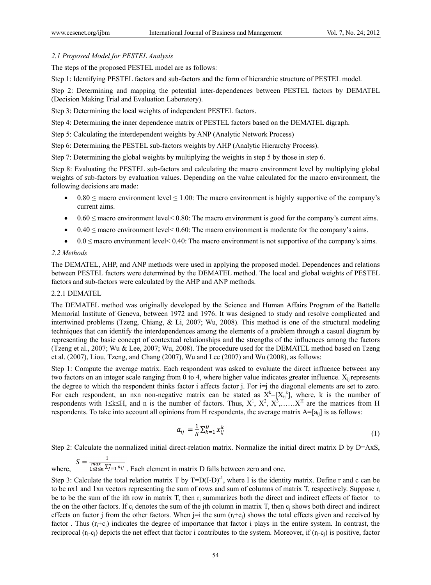# *2.1 Proposed Model for PESTEL Analysis*

The steps of the proposed PESTEL model are as follows:

Step 1: Identifying PESTEL factors and sub-factors and the form of hierarchic structure of PESTEL model.

Step 2: Determining and mapping the potential inter-dependences between PESTEL factors by DEMATEL (Decision Making Trial and Evaluation Laboratory).

Step 3: Determining the local weights of independent PESTEL factors.

Step 4: Determining the inner dependence matrix of PESTEL factors based on the DEMATEL digraph.

Step 5: Calculating the interdependent weights by ANP (Analytic Network Process)

Step 6: Determining the PESTEL sub-factors weights by AHP (Analytic Hierarchy Process).

Step 7: Determining the global weights by multiplying the weights in step 5 by those in step 6.

Step 8: Evaluating the PESTEL sub-factors and calculating the macro environment level by multiplying global weights of sub-factors by evaluation values. Depending on the value calculated for the macro environment, the following decisions are made:

- $\bullet$  0.80  $\leq$  macro environment level  $\leq$  1.00: The macro environment is highly supportive of the company's current aims.
- $\bullet$  0.60  $\leq$  macro environment level $\leq$  0.80: The macro environment is good for the company's current aims.
- $\bullet$  0.40  $\leq$  macro environment level  $\leq$  0.60: The macro environment is moderate for the company's aims.
- $0.0 \leq$  macro environment level $\leq 0.40$ . The macro environment is not supportive of the company's aims.

# *2.2 Methods*

The DEMATEL, AHP, and ANP methods were used in applying the proposed model. Dependences and relations between PESTEL factors were determined by the DEMATEL method. The local and global weights of PESTEL factors and sub-factors were calculated by the AHP and ANP methods.

## 2.2.1 DEMATEL

The DEMATEL method was originally developed by the Science and Human Affairs Program of the Battelle Memorial Institute of Geneva, between 1972 and 1976. It was designed to study and resolve complicated and intertwined problems (Tzeng, Chiang, & Li, 2007; Wu, 2008). This method is one of the structural modeling techniques that can identify the interdependences among the elements of a problem through a casual diagram by representing the basic concept of contextual relationships and the strengths of the influences among the factors (Tzeng et al., 2007; Wu & Lee, 2007; Wu, 2008). The procedure used for the DEMATEL method based on Tzeng et al. (2007), Liou, Tzeng, and Chang (2007), Wu and Lee (2007) and Wu (2008), as follows:

Step 1: Compute the average matrix. Each respondent was asked to evaluate the direct influence between any two factors on an integer scale ranging from 0 to 4, where higher value indicates greater influence.  $X_{ii}$  represents the degree to which the respondent thinks factor i affects factor j. For i=j the diagonal elements are set to zero. For each respondent, an nxn non-negative matrix can be stated as  $X^k = [X_{ij}]$ , where, k is the number of respondents with 1 \le \le \le H, and n is the number of factors. Thus,  $X^1$ ,  $X^2$ ,  $X^3$ , ......  $X^H$  are the matrices from H respondents. To take into account all opinions from H respondents, the average matrix  $A=[a_{ii}]$  is as follows:

$$
a_{ij} = \frac{1}{H} \sum_{k=1}^{H} x_{ij}^k
$$
 (1)

Step 2: Calculate the normalized initial direct-relation matrix. Normalize the initial direct matrix D by D=AxS,

where,  $S = \frac{1}{\max_{1 \le i \le n} \sum_{j=1}^{n} a_{ij}}$ . Each element in matrix D falls between zero and one.

Step 3: Calculate the total relation matrix T by  $T=D(I-D)^{-1}$ , where I is the identity matrix. Define r and c can be to be nx1 and 1xn vectors representing the sum of rows and sum of columns of matrix T, respectively. Suppose  $r_i$ be to be the sum of the ith row in matrix T, then  $r_i$  summarizes both the direct and indirect effects of factor to the on the other factors. If  $c_i$  denotes the sum of the jth column in matrix T, then  $c_i$  shows both direct and indirect effects on factor j from the other factors. When  $i=i$  the sum  $(r_i+c_i)$  shows the total effects given and received by factor. Thus  $(r_i+c_i)$  indicates the degree of importance that factor i plays in the entire system. In contrast, the reciprocal  $(r_i-c_i)$  depicts the net effect that factor i contributes to the system. Moreover, if  $(r_i-c_i)$  is positive, factor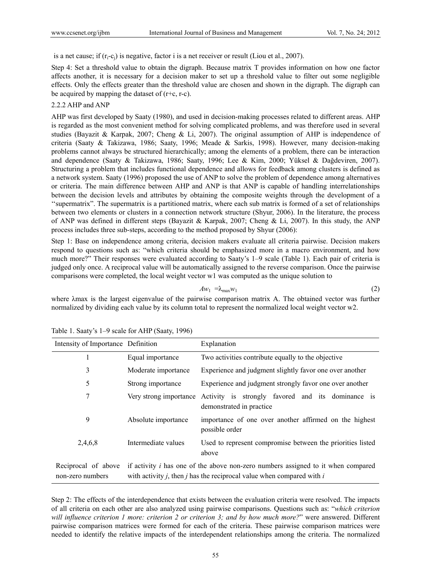is a net cause; if  $(r_i-c_i)$  is negative, factor i is a net receiver or result (Liou et al., 2007).

Step 4: Set a threshold value to obtain the digraph. Because matrix T provides information on how one factor affects another, it is necessary for a decision maker to set up a threshold value to filter out some negligible effects. Only the effects greater than the threshold value are chosen and shown in the digraph. The digraph can be acquired by mapping the dataset of  $(r+c, r-c)$ .

#### 2.2.2 AHP and ANP

AHP was first developed by Saaty (1980), and used in decision-making processes related to different areas. AHP is regarded as the most convenient method for solving complicated problems, and was therefore used in several studies (Bayazit & Karpak, 2007; Cheng & Li, 2007). The original assumption of AHP is independence of criteria (Saaty & Takizawa, 1986; Saaty, 1996; Meade & Sarkis, 1998). However, many decision-making problems cannot always be structured hierarchically; among the elements of a problem, there can be interaction and dependence (Saaty & Takizawa, 1986; Saaty, 1996; Lee & Kim, 2000; Yüksel & Dağdeviren, 2007). Structuring a problem that includes functional dependence and allows for feedback among clusters is defined as a network system. Saaty (1996) proposed the use of ANP to solve the problem of dependence among alternatives or criteria. The main difference between AHP and ANP is that ANP is capable of handling interrelationships between the decision levels and attributes by obtaining the composite weights through the development of a ''supermatrix". The supermatrix is a partitioned matrix, where each sub matrix is formed of a set of relationships between two elements or clusters in a connection network structure (Shyur, 2006). In the literature, the process of ANP was defined in different steps (Bayazit & Karpak, 2007; Cheng & Li, 2007). In this study, the ANP process includes three sub-steps, according to the method proposed by Shyur (2006):

Step 1: Base on independence among criteria, decision makers evaluate all criteria pairwise. Decision makers respond to questions such as: "which criteria should be emphasized more in a macro environment, and how much more?" Their responses were evaluated according to Saaty's 1–9 scale (Table 1). Each pair of criteria is judged only once. A reciprocal value will be automatically assigned to the reverse comparison. Once the pairwise comparisons were completed, the local weight vector w1 was computed as the unique solution to

$$
Aw_1 = \lambda_{\max} w_1 \tag{2}
$$

where λmax is the largest eigenvalue of the pairwise comparison matrix A. The obtained vector was further normalized by dividing each value by its column total to represent the normalized local weight vector w2.

| Intensity of Importance Definition      |                                                                                                                                                                              | Explanation                                                                    |  |  |  |
|-----------------------------------------|------------------------------------------------------------------------------------------------------------------------------------------------------------------------------|--------------------------------------------------------------------------------|--|--|--|
|                                         | Equal importance                                                                                                                                                             | Two activities contribute equally to the objective                             |  |  |  |
| 3                                       | Moderate importance                                                                                                                                                          | Experience and judgment slightly favor one over another                        |  |  |  |
| 5                                       | Strong importance                                                                                                                                                            | Experience and judgment strongly favor one over another                        |  |  |  |
| 7                                       | Very strong importance                                                                                                                                                       | Activity is strongly favored and its dominance is<br>demonstrated in practice. |  |  |  |
| 9                                       | Absolute importance                                                                                                                                                          | importance of one over another affirmed on the highest<br>possible order       |  |  |  |
| 2,4,6,8                                 | Intermediate values                                                                                                                                                          | Used to represent compromise between the priorities listed<br>above            |  |  |  |
| Reciprocal of above<br>non-zero numbers | if activity $i$ has one of the above non-zero numbers assigned to it when compared<br>with activity <i>j</i> , then <i>j</i> has the reciprocal value when compared with $i$ |                                                                                |  |  |  |

Table 1. Saaty's 1–9 scale for AHP (Saaty, 1996)

Step 2: The effects of the interdependence that exists between the evaluation criteria were resolved. The impacts of all criteria on each other are also analyzed using pairwise comparisons. Questions such as: "*which criterion will influence criterion 1 more: criterion 2 or criterion 3; and by how much more?*" were answered. Different pairwise comparison matrices were formed for each of the criteria. These pairwise comparison matrices were needed to identify the relative impacts of the interdependent relationships among the criteria. The normalized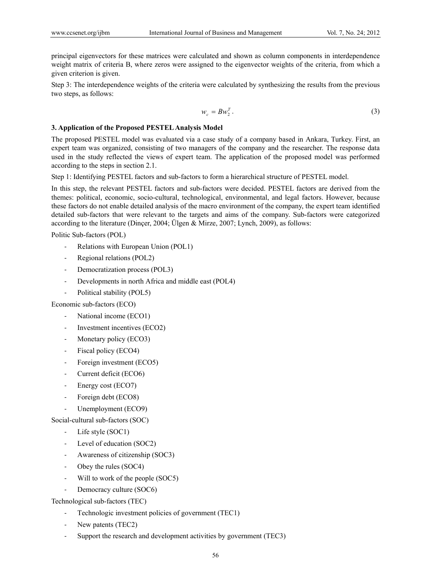principal eigenvectors for these matrices were calculated and shown as column components in interdependence weight matrix of criteria B, where zeros were assigned to the eigenvector weights of the criteria, from which a given criterion is given.

Step 3: The interdependence weights of the criteria were calculated by synthesizing the results from the previous two steps, as follows:

$$
w_c = B w_2^T. \tag{3}
$$

### **3. Application of the Proposed PESTEL Analysis Model**

The proposed PESTEL model was evaluated via a case study of a company based in Ankara, Turkey. First, an expert team was organized, consisting of two managers of the company and the researcher. The response data used in the study reflected the views of expert team. The application of the proposed model was performed according to the steps in section 2.1.

Step 1: Identifying PESTEL factors and sub-factors to form a hierarchical structure of PESTEL model.

In this step, the relevant PESTEL factors and sub-factors were decided. PESTEL factors are derived from the themes: political, economic, socio-cultural, technological, environmental, and legal factors. However, because these factors do not enable detailed analysis of the macro environment of the company, the expert team identified detailed sub-factors that were relevant to the targets and aims of the company. Sub-factors were categorized according to the literature (Dinçer, 2004; Ülgen & Mirze, 2007; Lynch, 2009), as follows:

Politic Sub-factors (POL)

- ‐ Relations with European Union (POL1)
- ‐ Regional relations (POL2)
- ‐ Democratization process (POL3)
- ‐ Developments in north Africa and middle east (POL4)
- ‐ Political stability (POL5)

Economic sub-factors (ECO)

- National income (ECO1)
- ‐ Investment incentives (ECO2)
- ‐ Monetary policy (ECO3)
- ‐ Fiscal policy (ECO4)
- ‐ Foreign investment (ECO5)
- ‐ Current deficit (ECO6)
- ‐ Energy cost (ECO7)
- ‐ Foreign debt (ECO8)
- Unemployment (ECO9)

Social-cultural sub-factors (SOC)

- Life style (SOC1)
- ‐ Level of education (SOC2)
- ‐ Awareness of citizenship (SOC3)
- Obey the rules (SOC4)
- Will to work of the people (SOC5)
- Democracy culture (SOC6)

Technological sub-factors (TEC)

- ‐ Technologic investment policies of government (TEC1)
- ‐ New patents (TEC2)
- ‐ Support the research and development activities by government (TEC3)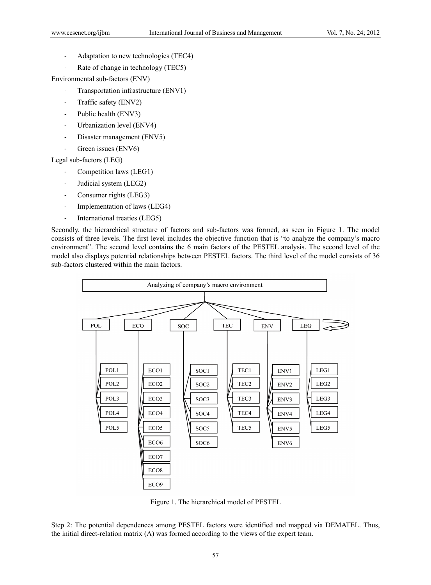- ‐ Adaptation to new technologies (TEC4)
- ‐ Rate of change in technology (TEC5)

Environmental sub-factors (ENV)

- ‐ Transportation infrastructure (ENV1)
- ‐ Traffic safety (ENV2)
- ‐ Public health (ENV3)
- ‐ Urbanization level (ENV4)
- ‐ Disaster management (ENV5)
- Green issues (ENV6)

Legal sub-factors (LEG)

- ‐ Competition laws (LEG1)
- ‐ Judicial system (LEG2)
- ‐ Consumer rights (LEG3)
- ‐ Implementation of laws (LEG4)
- ‐ International treaties (LEG5)

Secondly, the hierarchical structure of factors and sub-factors was formed, as seen in Figure 1. The model consists of three levels. The first level includes the objective function that is "to analyze the company's macro environment". The second level contains the 6 main factors of the PESTEL analysis. The second level of the model also displays potential relationships between PESTEL factors. The third level of the model consists of 36 sub-factors clustered within the main factors.



Figure 1. The hierarchical model of PESTEL

Step 2: The potential dependences among PESTEL factors were identified and mapped via DEMATEL. Thus, the initial direct-relation matrix (A) was formed according to the views of the expert team.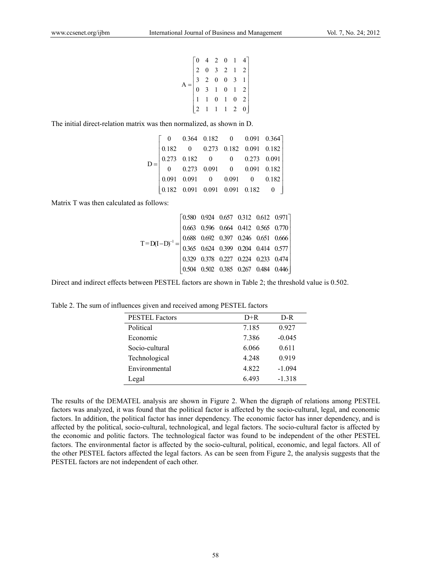$$
A = \begin{bmatrix} 0 & 4 & 2 & 0 & 1 & 4 \\ 2 & 0 & 3 & 2 & 1 & 2 \\ 3 & 2 & 0 & 0 & 3 & 1 \\ 0 & 3 & 1 & 0 & 1 & 2 \\ 1 & 1 & 0 & 1 & 0 & 2 \\ 2 & 1 & 1 & 1 & 2 & 0 \end{bmatrix}
$$

The initial direct-relation matrix was then normalized, as shown in D.

|  | $\begin{bmatrix} 0 & 0.364 & 0.182 & 0 & 0.091 & 0.364 \ 0.182 & 0 & 0.273 & 0.182 & 0.091 & 0.182 \ 0.273 & 0.182 & 0 & 0 & 0.273 & 0.091 \ 0 & 0.273 & 0.091 & 0 & 0.091 & 0.182 \ 0.091 & 0.091 & 0 & 0.091 & 0 & 0.182 \ 0.182 & 0.091 & 0.091 & 0.091 & 0.182 & 0 \end{$ |  |  |
|--|-------------------------------------------------------------------------------------------------------------------------------------------------------------------------------------------------------------------------------------------------------------------------------|--|--|
|  |                                                                                                                                                                                                                                                                               |  |  |
|  |                                                                                                                                                                                                                                                                               |  |  |

Matrix T was then calculated as follows:

$$
T = D(I - D)^{-1} = \begin{bmatrix} 0.580 & 0.924 & 0.657 & 0.312 & 0.612 & 0.971 \\ 0.663 & 0.596 & 0.664 & 0.412 & 0.565 & 0.770 \\ 0.688 & 0.692 & 0.397 & 0.246 & 0.651 & 0.666 \\ 0.365 & 0.624 & 0.399 & 0.204 & 0.414 & 0.577 \\ 0.329 & 0.378 & 0.227 & 0.224 & 0.233 & 0.474 \\ 0.504 & 0.502 & 0.385 & 0.267 & 0.484 & 0.446 \end{bmatrix}
$$

Direct and indirect effects between PESTEL factors are shown in Table 2; the threshold value is 0.502.

|  |  | Table 2. The sum of influences given and received among PESTEL factors |  |
|--|--|------------------------------------------------------------------------|--|
|  |  |                                                                        |  |
|  |  |                                                                        |  |
|  |  |                                                                        |  |

| <b>PESTEL Factors</b> | $D+R$   | D-R      |
|-----------------------|---------|----------|
| Political             | 7.185   | 0.927    |
| Economic              | 7.386   | $-0.045$ |
| Socio-cultural        | 6.066   | 0.611    |
| Technological         | 4 2 4 8 | 0.919    |
| Environmental         | 4.822   | $-1.094$ |
| Legal                 | 6493    | $-1318$  |
|                       |         |          |

The results of the DEMATEL analysis are shown in Figure 2. When the digraph of relations among PESTEL factors was analyzed, it was found that the political factor is affected by the socio-cultural, legal, and economic factors. In addition, the political factor has inner dependency. The economic factor has inner dependency, and is affected by the political, socio-cultural, technological, and legal factors. The socio-cultural factor is affected by the economic and politic factors. The technological factor was found to be independent of the other PESTEL factors. The environmental factor is affected by the socio-cultural, political, economic, and legal factors. All of the other PESTEL factors affected the legal factors. As can be seen from Figure 2, the analysis suggests that the PESTEL factors are not independent of each other.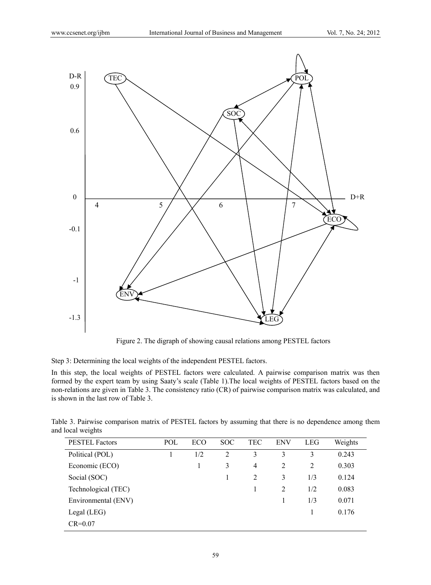

Figure 2. The digraph of showing causal relations among PESTEL factors

Step 3: Determining the local weights of the independent PESTEL factors.

In this step, the local weights of PESTEL factors were calculated. A pairwise comparison matrix was then formed by the expert team by using Saaty's scale (Table 1).The local weights of PESTEL factors based on the non-relations are given in Table 3. The consistency ratio (CR) of pairwise comparison matrix was calculated, and is shown in the last row of Table 3.

|                   | Table 3. Pairwise comparison matrix of PESTEL factors by assuming that there is no dependence among them |  |  |  |
|-------------------|----------------------------------------------------------------------------------------------------------|--|--|--|
| and local weights |                                                                                                          |  |  |  |

| <b>PESTEL Factors</b> | POL | ECO | <b>SOC</b> | TEC | <b>ENV</b> | <b>LEG</b>     | Weights |
|-----------------------|-----|-----|------------|-----|------------|----------------|---------|
| Political (POL)       |     | 1/2 | 2          | 3   | 3          | 3              | 0.243   |
| Economic (ECO)        |     |     | 3          | 4   | 2          | $\overline{2}$ | 0.303   |
| Social (SOC)          |     |     |            | 2   | 3          | 1/3            | 0.124   |
| Technological (TEC)   |     |     |            |     | 2          | 1/2            | 0.083   |
| Environmental (ENV)   |     |     |            |     |            | 1/3            | 0.071   |
| Legal $(LEG)$         |     |     |            |     |            |                | 0.176   |
| $CR = 0.07$           |     |     |            |     |            |                |         |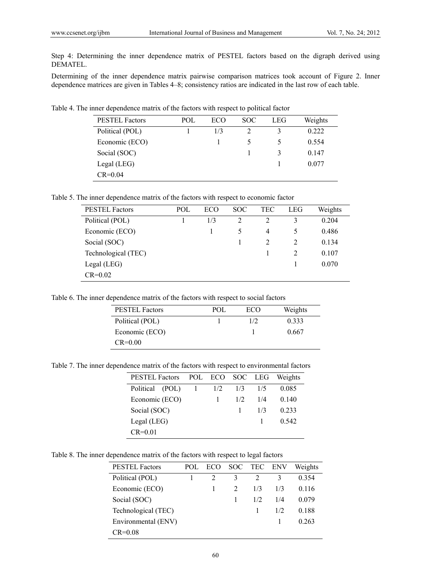Step 4: Determining the inner dependence matrix of PESTEL factors based on the digraph derived using DEMATEL.

Determining of the inner dependence matrix pairwise comparison matrices took account of Figure 2. Inner dependence matrices are given in Tables 4–8; consistency ratios are indicated in the last row of each table.

Table 4. The inner dependence matrix of the factors with respect to political factor

| <b>PESTEL Factors</b> | POL | ECO | SOC. | LEG | Weights |
|-----------------------|-----|-----|------|-----|---------|
| Political (POL)       |     | 1/3 |      |     | 0.222   |
| Economic (ECO)        |     |     |      |     | 0.554   |
| Social (SOC)          |     |     |      | 3   | 0.147   |
| $Legal$ (LEG)         |     |     |      |     | 0.077   |
| $CR = 0.04$           |     |     |      |     |         |

Table 5. The inner dependence matrix of the factors with respect to economic factor

| <b>PESTEL Factors</b> | POL | ECO | <b>SOC</b>     | TEC | LEG | Weights |
|-----------------------|-----|-----|----------------|-----|-----|---------|
| Political (POL)       |     | 1/3 | $\mathfrak{D}$ | 2   | 3   | 0.204   |
| Economic (ECO)        |     |     | 5              | 4   | 5   | 0.486   |
| Social (SOC)          |     |     |                |     | 2   | 0.134   |
| Technological (TEC)   |     |     |                |     | 2   | 0.107   |
| Legal (LEG)           |     |     |                |     |     | 0.070   |
| $CR = 0.02$           |     |     |                |     |     |         |

Table 6. The inner dependence matrix of the factors with respect to social factors

| <b>PESTEL Factors</b> | POL. | ECO | Weights |
|-----------------------|------|-----|---------|
| Political (POL)       |      | 1/2 | 0.333   |
| Economic (ECO)        |      |     | 0.667   |
| $CR = 0.00$           |      |     |         |

Table 7. The inner dependence matrix of the factors with respect to environmental factors

| <b>PESTEL Factors</b> |  | POL ECO SOC LEG |     |     | Weights |  |  |
|-----------------------|--|-----------------|-----|-----|---------|--|--|
| Political (POL)       |  | 1/2             | 1/3 | 1/5 | 0.085   |  |  |
| Economic (ECO)        |  |                 | 1/2 | 1/4 | 0.140   |  |  |
| Social (SOC)          |  |                 |     | 1/3 | 0.233   |  |  |
| $Legal$ (LEG)         |  |                 |     |     | 0.542   |  |  |
| $CR = 0.01$           |  |                 |     |     |         |  |  |

Table 8. The inner dependence matrix of the factors with respect to legal factors

| <b>PESTEL Factors</b> | POL. | ECO |   | SOC TEC ENV |     | Weights |
|-----------------------|------|-----|---|-------------|-----|---------|
| Political (POL)       |      |     | 3 |             | 3   | 0.354   |
| Economic (ECO)        |      |     |   | 1/3         | 1/3 | 0.116   |
| Social (SOC)          |      |     |   | 1/2         | 1/4 | 0.079   |
| Technological (TEC)   |      |     |   |             | 1/2 | 0.188   |
| Environmental (ENV)   |      |     |   |             |     | 0.263   |
| $CR = 0.08$           |      |     |   |             |     |         |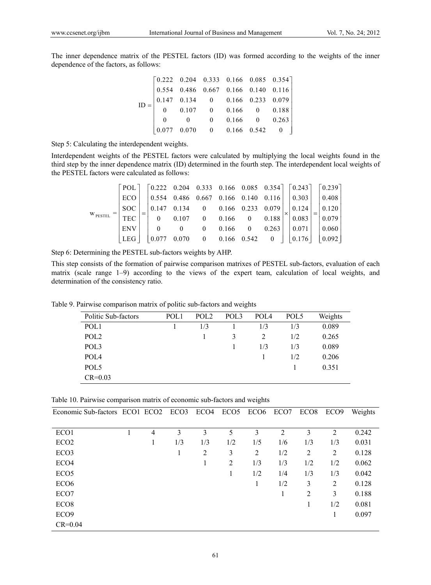The inner dependence matrix of the PESTEL factors (ID) was formed according to the weights of the inner dependence of the factors, as follows:

|  | $\text{ID} = \begin{bmatrix} 0.222 & 0.204 & 0.333 & 0.166 & 0.085 & 0.354 \\ 0.554 & 0.486 & 0.667 & 0.166 & 0.140 & 0.116 \\ 0.147 & 0.134 & 0 & 0.166 & 0.233 & 0.079 \\ 0 & 0.107 & 0 & 0.166 & 0 & 0.188 \end{bmatrix}$ |  |  |
|--|------------------------------------------------------------------------------------------------------------------------------------------------------------------------------------------------------------------------------|--|--|
|  | $\begin{bmatrix} 0 & 0 & 0 & 0.166 & 0 & 0.263 \\ 0.077 & 0.070 & 0 & 0.166 & 0.542 & 0 \end{bmatrix}$                                                                                                                       |  |  |
|  |                                                                                                                                                                                                                              |  |  |

Step 5: Calculating the interdependent weights.

Interdependent weights of the PESTEL factors were calculated by multiplying the local weights found in the third step by the inner dependence matrix (ID) determined in the fourth step. The interdependent local weights of the PESTEL factors were calculated as follows:

|                     |      |                                   |  | $\lceil \text{POL} \rceil$ $\lceil 0.222 \quad 0.204 \quad 0.333 \quad 0.166 \quad 0.085 \quad 0.354 \rceil$ $\lceil 0.243 \rceil$ $\lceil 0.239 \rceil$ |  |  |                     |
|---------------------|------|-----------------------------------|--|----------------------------------------------------------------------------------------------------------------------------------------------------------|--|--|---------------------|
|                     | ECO. |                                   |  | $0.554$ 0.486 0.667 0.166 0.140 0.116 0.303 0.408                                                                                                        |  |  |                     |
|                     | SOC  | 0.147                             |  | $0.134$ 0   0.166  0.233  0.079 $\vert$ 0.124 $\vert$ 0.120 $\vert$                                                                                      |  |  |                     |
| W <sub>PESTEL</sub> | TEC  | $\begin{array}{cc} \n\end{array}$ |  | $0.107$ 0 0.166 0 0.188   0.083                                                                                                                          |  |  | $\vert 0.079 \vert$ |
|                     | ENV  |                                   |  | $0 \t 0 \t 0.166 \t 0 \t 0.263$                                                                                                                          |  |  | 0.071     0.060     |
|                     | LEG. |                                   |  | $0.070$ 0 0.166 0.542 0   0.176   0.092                                                                                                                  |  |  |                     |

Step 6: Determining the PESTEL sub-factors weights by AHP.

This step consists of the formation of pairwise comparison matrixes of PESTEL sub-factors, evaluation of each matrix (scale range 1–9) according to the views of the expert team, calculation of local weights, and determination of the consistency ratio.

Table 9. Pairwise comparison matrix of politic sub-factors and weights

| Politic Sub-factors | POL <sub>1</sub> | POL <sub>2</sub> | POL <sub>3</sub> | POL <sub>4</sub> | POL <sub>5</sub> | Weights |
|---------------------|------------------|------------------|------------------|------------------|------------------|---------|
| POL <sub>1</sub>    |                  | 1/3              |                  | 1/3              | 1/3              | 0.089   |
| POL <sub>2</sub>    |                  |                  | 3                | 2                | 1/2              | 0.265   |
| POL3                |                  |                  |                  | 1/3              | 1/3              | 0.089   |
| POL <sub>4</sub>    |                  |                  |                  |                  | 1/2              | 0.206   |
| POL5                |                  |                  |                  |                  |                  | 0.351   |
| $CR = 0.03$         |                  |                  |                  |                  |                  |         |

Table 10. Pairwise comparison matrix of economic sub-factors and weights

| Economic Sub-factors ECO1 ECO2 ECO3 |   |     | ECO4 | ECO <sub>5</sub> | ECO <sub>6</sub> | ECO7           | ECO <sub>8</sub> | ECO <sub>9</sub> | Weights |
|-------------------------------------|---|-----|------|------------------|------------------|----------------|------------------|------------------|---------|
|                                     |   |     |      |                  |                  |                |                  |                  |         |
| ECO1                                | 4 | 3   | 3    | 5                | 3                | $\overline{2}$ | 3                | 2                | 0.242   |
| ECO <sub>2</sub>                    | 1 | 1/3 | 1/3  | 1/2              | 1/5              | 1/6            | 1/3              | 1/3              | 0.031   |
| ECO <sub>3</sub>                    |   |     | 2    | 3                | 2                | 1/2            | 2                | 2                | 0.128   |
| ECO <sub>4</sub>                    |   |     |      | 2                | 1/3              | 1/3            | 1/2              | 1/2              | 0.062   |
| ECO <sub>5</sub>                    |   |     |      |                  | 1/2              | 1/4            | 1/3              | 1/3              | 0.042   |
| ECO <sub>6</sub>                    |   |     |      |                  | 1                | 1/2            | 3                | 2                | 0.128   |
| ECO7                                |   |     |      |                  |                  | 1              | 2                | 3                | 0.188   |
| ECO <sub>8</sub>                    |   |     |      |                  |                  |                |                  | 1/2              | 0.081   |
| ECO <sub>9</sub>                    |   |     |      |                  |                  |                |                  | 1                | 0.097   |
| $CR = 0.04$                         |   |     |      |                  |                  |                |                  |                  |         |

61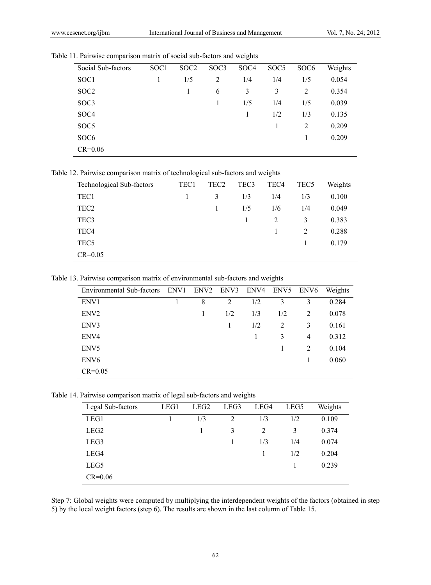|  |  |  |  |  |  |  | Table 11. Pairwise comparison matrix of social sub-factors and weights |
|--|--|--|--|--|--|--|------------------------------------------------------------------------|
|--|--|--|--|--|--|--|------------------------------------------------------------------------|

| Social Sub-factors | SOC <sub>1</sub> | SOC <sub>2</sub> | SOC <sub>3</sub> | SOC <sub>4</sub> | SOC <sub>5</sub> | SOC <sub>6</sub> | Weights |
|--------------------|------------------|------------------|------------------|------------------|------------------|------------------|---------|
| SOC1               |                  | 1/5              | 2                | 1/4              | 1/4              | 1/5              | 0.054   |
| SOC <sub>2</sub>   |                  |                  | 6                | 3                | 3                | 2                | 0.354   |
| SOC3               |                  |                  | 1                | 1/5              | 1/4              | 1/5              | 0.039   |
| SOC <sub>4</sub>   |                  |                  |                  | 1                | 1/2              | 1/3              | 0.135   |
| SOC <sub>5</sub>   |                  |                  |                  |                  |                  | 2                | 0.209   |
| SOC <sub>6</sub>   |                  |                  |                  |                  |                  |                  | 0.209   |
| $CR = 0.06$        |                  |                  |                  |                  |                  |                  |         |

Table 12. Pairwise comparison matrix of technological sub-factors and weights

| Technological Sub-factors | TEC1 | TEC <sub>2</sub> | TEC <sub>3</sub> | TEC <sub>4</sub> | TEC <sub>5</sub> | Weights |
|---------------------------|------|------------------|------------------|------------------|------------------|---------|
| TEC1                      |      | 3                | 1/3              | 1/4              | 1/3              | 0.100   |
| TEC <sub>2</sub>          |      |                  | 1/5              | 1/6              | 1/4              | 0.049   |
| TEC <sub>3</sub>          |      |                  |                  | 2                | 3                | 0.383   |
| TEC <sub>4</sub>          |      |                  |                  |                  | $\overline{2}$   | 0.288   |
| TEC <sub>5</sub>          |      |                  |                  |                  |                  | 0.179   |
| $CR = 0.05$               |      |                  |                  |                  |                  |         |

Table 13. Pairwise comparison matrix of environmental sub-factors and weights

| <b>Environmental Sub-factors</b> | ENV1 | ENV2 ENV3 |     | ENV4 | ENV5 | ENV6           | Weights |
|----------------------------------|------|-----------|-----|------|------|----------------|---------|
| ENV1                             |      | 8         | 2   | 1/2  | 3    | 3              | 0.284   |
| ENV <sub>2</sub>                 |      | 1         | 1/2 | 1/3  | 1/2  | 2              | 0.078   |
| ENV3                             |      |           |     | 1/2  | 2    | 3              | 0.161   |
| ENV4                             |      |           |     |      | 3    | $\overline{4}$ | 0.312   |
| ENV <sub>5</sub>                 |      |           |     |      |      | 2              | 0.104   |
| ENV <sub>6</sub>                 |      |           |     |      |      |                | 0.060   |
| $CR = 0.05$                      |      |           |     |      |      |                |         |

Table 14. Pairwise comparison matrix of legal sub-factors and weights

| Legal Sub-factors | LEG1 | LEG <sub>2</sub> | LEG3           | LEG4 | LEG5 | Weights |
|-------------------|------|------------------|----------------|------|------|---------|
| LEG1              |      | 1/3              | $\overline{c}$ | 1/3  | 1/2  | 0.109   |
| LEG <sub>2</sub>  |      |                  | 3              | 2    | 3    | 0.374   |
| LEG3              |      |                  |                | 1/3  | 1/4  | 0.074   |
| LEG4              |      |                  |                |      | 1/2  | 0.204   |
| LEG5              |      |                  |                |      |      | 0.239   |
| $CR = 0.06$       |      |                  |                |      |      |         |

Step 7: Global weights were computed by multiplying the interdependent weights of the factors (obtained in step 5) by the local weight factors (step 6). The results are shown in the last column of Table 15.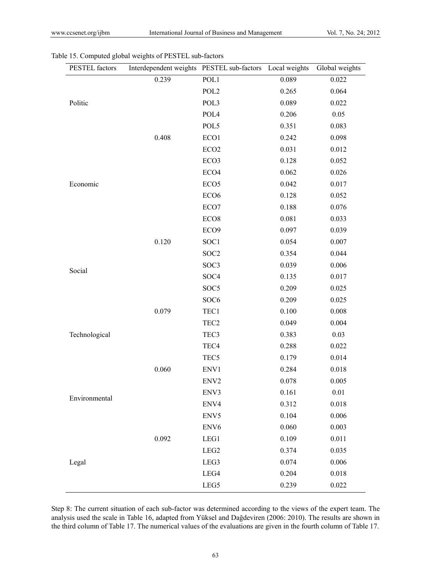| PESTEL factors | Interdependent weights PESTEL sub-factors Local weights |                  |       | Global weights |
|----------------|---------------------------------------------------------|------------------|-------|----------------|
|                | 0.239                                                   | POL1             | 0.089 | 0.022          |
|                |                                                         | POL <sub>2</sub> | 0.265 | 0.064          |
| Politic        |                                                         | POL3             | 0.089 | 0.022          |
|                |                                                         | POL4             | 0.206 | 0.05           |
|                |                                                         | POL5             | 0.351 | 0.083          |
|                | 0.408                                                   | ECO1             | 0.242 | 0.098          |
|                |                                                         | ECO <sub>2</sub> | 0.031 | 0.012          |
|                |                                                         | ECO <sub>3</sub> | 0.128 | 0.052          |
|                |                                                         | ECO <sub>4</sub> | 0.062 | 0.026          |
| Economic       |                                                         | ECO <sub>5</sub> | 0.042 | 0.017          |
|                |                                                         | ECO <sub>6</sub> | 0.128 | 0.052          |
|                |                                                         | ECO7             | 0.188 | 0.076          |
|                |                                                         | ECO <sub>8</sub> | 0.081 | 0.033          |
|                |                                                         | ECO <sub>9</sub> | 0.097 | 0.039          |
|                | 0.120                                                   | SOC1             | 0.054 | 0.007          |
|                |                                                         | SOC <sub>2</sub> | 0.354 | 0.044          |
| Social         |                                                         | SOC3             | 0.039 | 0.006          |
|                |                                                         | SOC <sub>4</sub> | 0.135 | 0.017          |
|                |                                                         | SOC <sub>5</sub> | 0.209 | 0.025          |
|                |                                                         | SOC <sub>6</sub> | 0.209 | 0.025          |
|                | 0.079                                                   | TEC1             | 0.100 | 0.008          |
|                |                                                         | TEC <sub>2</sub> | 0.049 | 0.004          |
| Technological  |                                                         | TEC <sub>3</sub> | 0.383 | 0.03           |
|                |                                                         | TEC4             | 0.288 | 0.022          |
|                |                                                         | TEC <sub>5</sub> | 0.179 | 0.014          |
|                | 0.060                                                   | ENV1             | 0.284 | 0.018          |
|                |                                                         | ENV <sub>2</sub> | 0.078 | 0.005          |
| Environmental  |                                                         | ENV3             | 0.161 | 0.01           |
|                |                                                         | ENV4             | 0.312 | 0.018          |
|                |                                                         | ENV5             | 0.104 | 0.006          |
|                |                                                         | ENV <sub>6</sub> | 0.060 | 0.003          |
|                | 0.092                                                   | LEG1             | 0.109 | 0.011          |
|                |                                                         | LEG <sub>2</sub> | 0.374 | 0.035          |
| Legal          |                                                         | LEG3             | 0.074 | 0.006          |
|                |                                                         | LEG4             | 0.204 | 0.018          |
|                |                                                         | LEG5             | 0.239 | 0.022          |

Table 15. Computed global weights of PESTEL sub-factors

Step 8: The current situation of each sub-factor was determined according to the views of the expert team. The analysis used the scale in Table 16, adapted from Yüksel and Dağdeviren (2006: 2010). The results are shown in the third column of Table 17. The numerical values of the evaluations are given in the fourth column of Table 17.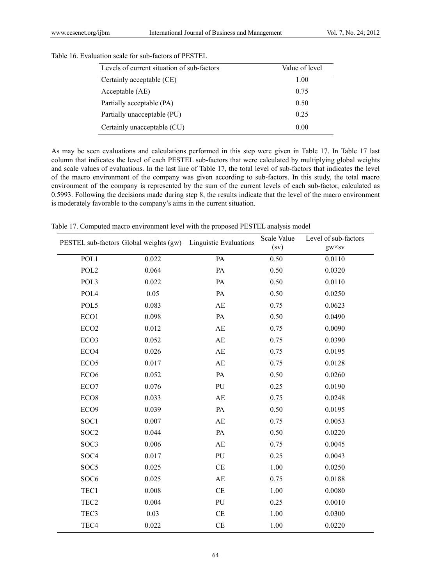| Levels of current situation of sub-factors | Value of level |
|--------------------------------------------|----------------|
| Certainly acceptable (CE)                  | 1.00           |
| Acceptable (AE)                            | 0.75           |
| Partially acceptable (PA)                  | 0.50           |
| Partially unacceptable (PU)                | 0.25           |
| Certainly unacceptable (CU)                | 0.00           |

Table 16. Evaluation scale for sub-factors of PESTEL

As may be seen evaluations and calculations performed in this step were given in Table 17. In Table 17 last column that indicates the level of each PESTEL sub-factors that were calculated by multiplying global weights and scale values of evaluations. In the last line of Table 17, the total level of sub-factors that indicates the level of the macro environment of the company was given according to sub-factors. In this study, the total macro environment of the company is represented by the sum of the current levels of each sub-factor, calculated as 0.5993. Following the decisions made during step 8, the results indicate that the level of the macro environment is moderately favorable to the company's aims in the current situation.

|                  |       | PESTEL sub-factors Global weights (gw) Linguistic Evaluations | Scale Value | Level of sub-factors |
|------------------|-------|---------------------------------------------------------------|-------------|----------------------|
|                  |       |                                                               | (sv)        | $g_{W} \times$ sv    |
| POL1             | 0.022 | PA                                                            | 0.50        | 0.0110               |
| POL <sub>2</sub> | 0.064 | PA                                                            | 0.50        | 0.0320               |
| POL3             | 0.022 | PA                                                            | 0.50        | 0.0110               |
| POL <sub>4</sub> | 0.05  | PA                                                            | 0.50        | 0.0250               |
| POL5             | 0.083 | AE                                                            | 0.75        | 0.0623               |
| ECO1             | 0.098 | PA                                                            | 0.50        | 0.0490               |
| ECO <sub>2</sub> | 0.012 | $\mathbf{A}\mathbf{E}$                                        | 0.75        | 0.0090               |
| ECO <sub>3</sub> | 0.052 | AE                                                            | 0.75        | 0.0390               |
| ECO <sub>4</sub> | 0.026 | AE                                                            | 0.75        | 0.0195               |
| ECO <sub>5</sub> | 0.017 | AE                                                            | 0.75        | 0.0128               |
| ECO <sub>6</sub> | 0.052 | PA                                                            | 0.50        | 0.0260               |
| ECO7             | 0.076 | PU                                                            | 0.25        | 0.0190               |
| ECO <sub>8</sub> | 0.033 | AE                                                            | 0.75        | 0.0248               |
| ECO <sub>9</sub> | 0.039 | PA                                                            | 0.50        | 0.0195               |
| SOC1             | 0.007 | AE                                                            | 0.75        | 0.0053               |
| SOC <sub>2</sub> | 0.044 | PA                                                            | 0.50        | 0.0220               |
| SOC3             | 0.006 | AE                                                            | 0.75        | 0.0045               |
| SOC <sub>4</sub> | 0.017 | PU                                                            | 0.25        | 0.0043               |
| SOC <sub>5</sub> | 0.025 | CE                                                            | 1.00        | 0.0250               |
| SOC <sub>6</sub> | 0.025 | AE                                                            | 0.75        | 0.0188               |
| TEC1             | 0.008 | CE                                                            | 1.00        | 0.0080               |
| TEC <sub>2</sub> | 0.004 | PU                                                            | 0.25        | 0.0010               |
| TEC <sub>3</sub> | 0.03  | CE                                                            | 1.00        | 0.0300               |
| TEC <sub>4</sub> | 0.022 | CE                                                            | 1.00        | 0.0220               |

Table 17. Computed macro environment level with the proposed PESTEL analysis model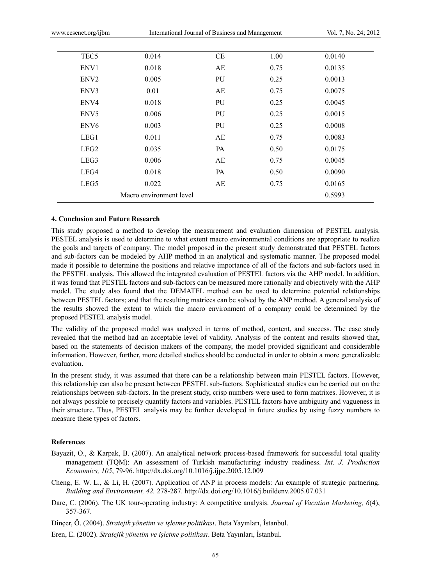| TEC <sub>5</sub> | 0.014                   | CE        | 1.00 | 0.0140 |
|------------------|-------------------------|-----------|------|--------|
| ENV1             | 0.018                   | AE        | 0.75 | 0.0135 |
| ENV <sub>2</sub> | 0.005                   | PU        | 0.25 | 0.0013 |
| ENV3             | 0.01                    | AE        | 0.75 | 0.0075 |
| ENV4             | 0.018                   | PU        | 0.25 | 0.0045 |
| ENV <sub>5</sub> | 0.006                   | PU        | 0.25 | 0.0015 |
| ENV <sub>6</sub> | 0.003                   | PU        | 0.25 | 0.0008 |
| LEG1             | 0.011                   | AE        | 0.75 | 0.0083 |
| LEG <sub>2</sub> | 0.035                   | <b>PA</b> | 0.50 | 0.0175 |
| LEG3             | 0.006                   | AE        | 0.75 | 0.0045 |
| LEG4             | 0.018                   | PA        | 0.50 | 0.0090 |
| LEG5             | 0.022                   | AE        | 0.75 | 0.0165 |
|                  | Macro environment level |           |      | 0.5993 |

# **4. Conclusion and Future Research**

This study proposed a method to develop the measurement and evaluation dimension of PESTEL analysis. PESTEL analysis is used to determine to what extent macro environmental conditions are appropriate to realize the goals and targets of company. The model proposed in the present study demonstrated that PESTEL factors and sub-factors can be modeled by AHP method in an analytical and systematic manner. The proposed model made it possible to determine the positions and relative importance of all of the factors and sub-factors used in the PESTEL analysis. This allowed the integrated evaluation of PESTEL factors via the AHP model. In addition, it was found that PESTEL factors and sub-factors can be measured more rationally and objectively with the AHP model. The study also found that the DEMATEL method can be used to determine potential relationships between PESTEL factors; and that the resulting matrices can be solved by the ANP method. A general analysis of the results showed the extent to which the macro environment of a company could be determined by the proposed PESTEL analysis model.

The validity of the proposed model was analyzed in terms of method, content, and success. The case study revealed that the method had an acceptable level of validity. Analysis of the content and results showed that, based on the statements of decision makers of the company, the model provided significant and considerable information. However, further, more detailed studies should be conducted in order to obtain a more generalizable evaluation.

In the present study, it was assumed that there can be a relationship between main PESTEL factors. However, this relationship can also be present between PESTEL sub-factors. Sophisticated studies can be carried out on the relationships between sub-factors. In the present study, crisp numbers were used to form matrixes. However, it is not always possible to precisely quantify factors and variables. PESTEL factors have ambiguity and vagueness in their structure. Thus, PESTEL analysis may be further developed in future studies by using fuzzy numbers to measure these types of factors.

#### **References**

- Bayazit, O., & Karpak, B. (2007). An analytical network process-based framework for successful total quality management (TQM): An assessment of Turkish manufacturing industry readiness. *Int. J. Production Economics, 105*, 79-96. http://dx.doi.org/10.1016/j.ijpe.2005.12.009
- Cheng, E. W. L., & Li, H. (2007). Application of ANP in process models: An example of strategic partnering. *Building and Environment, 42,* 278-287. http://dx.doi.org/10.1016/j.buildenv.2005.07.031
- Dare, C. (2006). The UK tour-operating industry: A competitive analysis. *Journal of Vacation Marketing, 6*(4), 357-367.
- Dinçer, Ö. (2004). *Stratejik yönetim ve işletme politikası*. Beta Yayınları, İstanbul.
- Eren, E. (2002). *Stratejik yönetim ve işletme politikası*. Beta Yayınları, İstanbul.